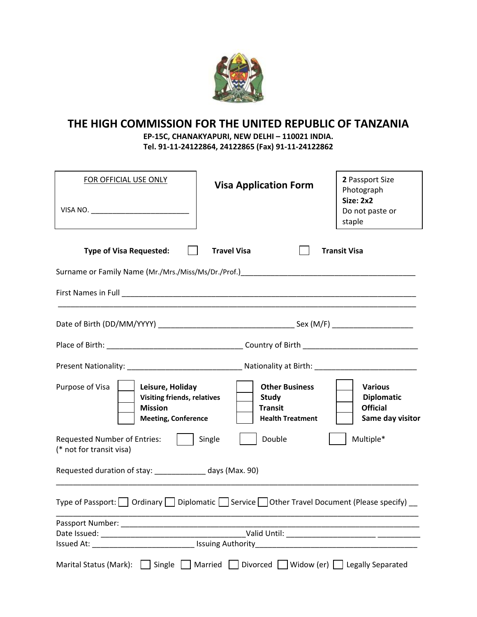

## **THE HIGH COMMISSION FOR THE UNITED REPUBLIC OF TANZANIA**

**EP‐15C, CHANAKYAPURI, NEW DELHI – 110021 INDIA. Tel. 91‐11‐24122864, 24122865 (Fax) 91‐11‐24122862**

| FOR OFFICIAL USE ONLY                                                                                                     | <b>Visa Application Form</b>                                                                                  | 2 Passport Size<br>Photograph<br><b>Size: 2x2</b><br>Do not paste or<br>staple |  |  |  |
|---------------------------------------------------------------------------------------------------------------------------|---------------------------------------------------------------------------------------------------------------|--------------------------------------------------------------------------------|--|--|--|
| <b>Type of Visa Requested:</b>                                                                                            | <b>Travel Visa</b>                                                                                            | <b>Transit Visa</b>                                                            |  |  |  |
| Surname or Family Name (Mr./Mrs./Miss/Ms/Dr./Prof.)______________________________                                         |                                                                                                               |                                                                                |  |  |  |
|                                                                                                                           |                                                                                                               |                                                                                |  |  |  |
|                                                                                                                           |                                                                                                               |                                                                                |  |  |  |
|                                                                                                                           |                                                                                                               |                                                                                |  |  |  |
|                                                                                                                           |                                                                                                               |                                                                                |  |  |  |
| Purpose of Visa<br>Leisure, Holiday<br><b>Visiting friends, relatives</b><br><b>Mission</b><br><b>Meeting, Conference</b> | <b>Other Business</b><br>Study<br><b>Transit</b><br><b>Health Treatment</b>                                   | <b>Various</b><br><b>Diplomatic</b><br><b>Official</b><br>Same day visitor     |  |  |  |
| <b>Requested Number of Entries:</b><br>(* not for transit visa)                                                           | Single<br>Double                                                                                              | Multiple*                                                                      |  |  |  |
| Requested duration of stay: _____________ days (Max. 90)                                                                  |                                                                                                               |                                                                                |  |  |  |
| Type of Passport: $\Box$ Ordinary $\Box$ Diplomatic $\Box$ Service $\Box$ Other Travel Document (Please specify) $\Box$   |                                                                                                               |                                                                                |  |  |  |
|                                                                                                                           |                                                                                                               |                                                                                |  |  |  |
|                                                                                                                           | Issued At: 155 and 155 and 155 and 155 and 155 and 155 and 155 and 155 and 155 and 155 and 156 and 157 and 15 |                                                                                |  |  |  |
| Marital Status (Mark): Single Married Divorced Widow (er) Legally Separated                                               |                                                                                                               |                                                                                |  |  |  |